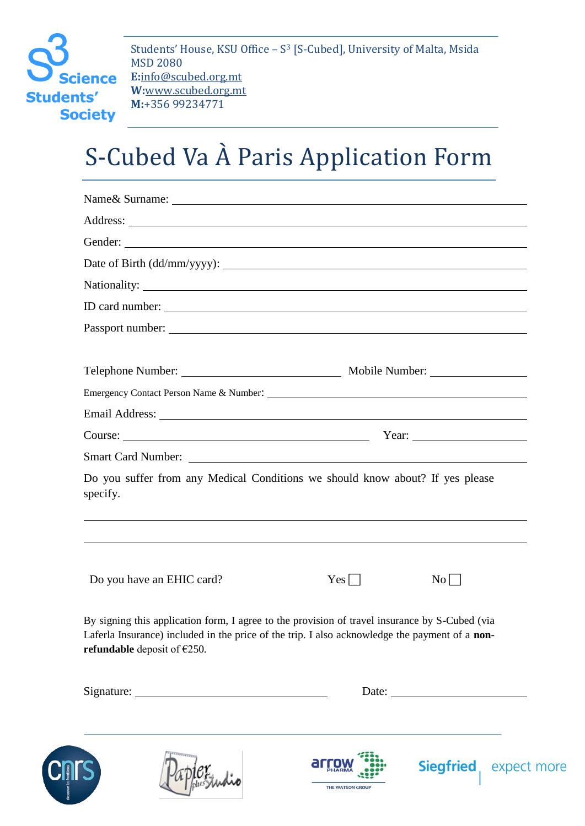

Students' House, KSU Office – S <sup>3</sup> [S-Cubed], University of Malta, Msida MSD 2080 **E:**info@scubed.org.mt **W:**www.scubed.org.mt **M:**+356 99234771

## S-Cubed Va À Paris Application Form

| Gender:                                                                                                                                                                                                                            |                       |                         |
|------------------------------------------------------------------------------------------------------------------------------------------------------------------------------------------------------------------------------------|-----------------------|-------------------------|
|                                                                                                                                                                                                                                    |                       |                         |
|                                                                                                                                                                                                                                    |                       |                         |
|                                                                                                                                                                                                                                    |                       |                         |
|                                                                                                                                                                                                                                    |                       |                         |
|                                                                                                                                                                                                                                    |                       |                         |
|                                                                                                                                                                                                                                    |                       |                         |
|                                                                                                                                                                                                                                    |                       |                         |
|                                                                                                                                                                                                                                    | Year: $\qquad \qquad$ |                         |
|                                                                                                                                                                                                                                    |                       |                         |
| Do you suffer from any Medical Conditions we should know about? If yes please<br>specify.                                                                                                                                          |                       |                         |
| Do you have an EHIC card?                                                                                                                                                                                                          | $Yes \mid \mid$       | $\rm{No}$               |
| By signing this application form, I agree to the provision of travel insurance by S-Cubed (via<br>Laferla Insurance) included in the price of the trip. I also acknowledge the payment of a non-<br>refundable deposit of $E$ 250. |                       |                         |
|                                                                                                                                                                                                                                    |                       |                         |
|                                                                                                                                                                                                                                    | THE WATSON GROUP      | <b>Siegfried</b> expect |

more